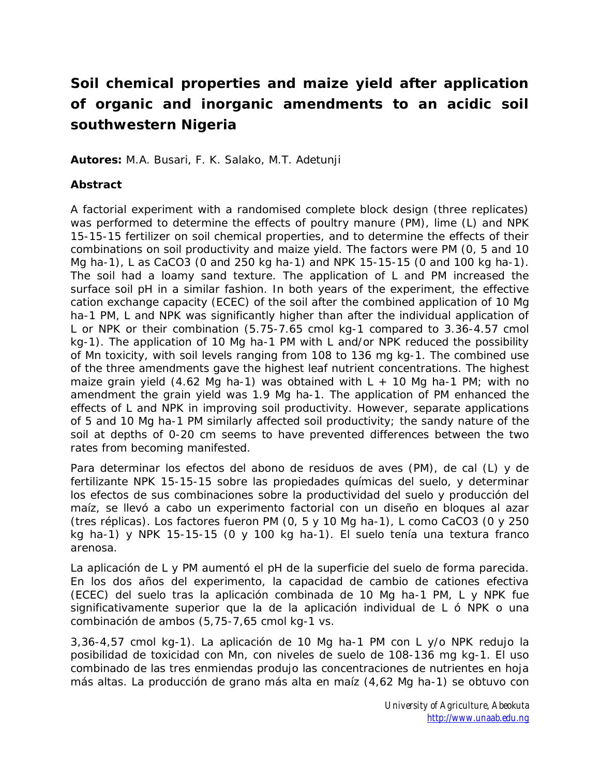## **Soil chemical properties and maize yield after application of organic and inorganic amendments to an acidic soil southwestern Nigeria**

**Autores:** M.A. Busari, F. K. Salako, M.T. Adetunji

## **Abstract**

A factorial experiment with a randomised complete block design (three replicates) was performed to determine the effects of poultry manure (PM), lime (L) and NPK 15-15-15 fertilizer on soil chemical properties, and to determine the effects of their combinations on soil productivity and maize yield. The factors were PM (0, 5 and 10 Mg ha-1), L as CaCO3 (0 and 250 kg ha-1) and NPK 15-15-15 (0 and 100 kg ha-1). The soil had a loamy sand texture. The application of L and PM increased the surface soil pH in a similar fashion. In both years of the experiment, the effective cation exchange capacity (ECEC) of the soil after the combined application of 10 Mg ha-1 PM, L and NPK was significantly higher than after the individual application of L or NPK or their combination (5.75-7.65 cmol kg-1 compared to 3.36-4.57 cmol kg-1). The application of 10 Mg ha-1 PM with L and/or NPK reduced the possibility of Mn toxicity, with soil levels ranging from 108 to 136 mg kg-1. The combined use of the three amendments gave the highest leaf nutrient concentrations. The highest maize grain yield (4.62 Mg ha-1) was obtained with  $L + 10$  Mg ha-1 PM; with no amendment the grain yield was 1.9 Mg ha-1. The application of PM enhanced the effects of L and NPK in improving soil productivity. However, separate applications of 5 and 10 Mg ha-1 PM similarly affected soil productivity; the sandy nature of the soil at depths of 0-20 cm seems to have prevented differences between the two rates from becoming manifested.

Para determinar los efectos del abono de residuos de aves (PM), de cal (L) y de fertilizante NPK 15-15-15 sobre las propiedades químicas del suelo, y determinar los efectos de sus combinaciones sobre la productividad del suelo y producción del maíz, se llevó a cabo un experimento factorial con un diseño en bloques al azar (tres réplicas). Los factores fueron PM (0, 5 y 10 Mg ha-1), L como CaCO3 (0 y 250 kg ha-1) y NPK 15-15-15 (0 y 100 kg ha-1). El suelo tenía una textura franco arenosa.

La aplicación de L y PM aumentó el pH de la superficie del suelo de forma parecida. En los dos años del experimento, la capacidad de cambio de cationes efectiva (ECEC) del suelo tras la aplicación combinada de 10 Mg ha-1 PM, L y NPK fue significativamente superior que la de la aplicación individual de L ó NPK o una combinación de ambos (5,75-7,65 cmol kg-1 vs.

3,36-4,57 cmol kg-1). La aplicación de 10 Mg ha-1 PM con L y/o NPK redujo la posibilidad de toxicidad con Mn, con niveles de suelo de 108-136 mg kg-1. El uso combinado de las tres enmiendas produjo las concentraciones de nutrientes en hoja más altas. La producción de grano más alta en maíz (4,62 Mg ha-1) se obtuvo con